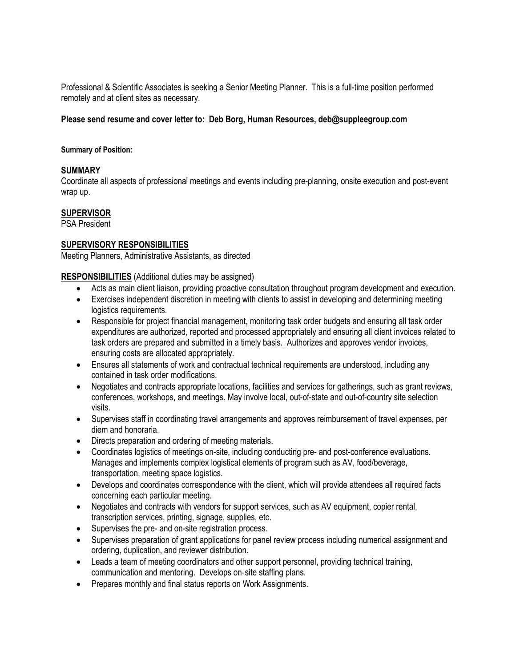Professional & Scientific Associates is seeking a Senior Meeting Planner. This is a full-time position performed remotely and at client sites as necessary.

### **Please send resume and cover letter to: Deb Borg, Human Resources, deb@suppleegroup.com**

#### **Summary of Position:**

# **SUMMARY**

Coordinate all aspects of professional meetings and events including pre-planning, onsite execution and post-event wrap up.

# **SUPERVISOR**

PSA President

### **SUPERVISORY RESPONSIBILITIES**

Meeting Planners, Administrative Assistants, as directed

**RESPONSIBILITIES** (Additional duties may be assigned)

- Acts as main client liaison, providing proactive consultation throughout program development and execution.
- Exercises independent discretion in meeting with clients to assist in developing and determining meeting logistics requirements.
- Responsible for project financial management, monitoring task order budgets and ensuring all task order expenditures are authorized, reported and processed appropriately and ensuring all client invoices related to task orders are prepared and submitted in a timely basis. Authorizes and approves vendor invoices, ensuring costs are allocated appropriately.
- Ensures all statements of work and contractual technical requirements are understood, including any contained in task order modifications.
- Negotiates and contracts appropriate locations, facilities and services for gatherings, such as grant reviews, conferences, workshops, and meetings. May involve local, out-of-state and out-of-country site selection visits.
- Supervises staff in coordinating travel arrangements and approves reimbursement of travel expenses, per diem and honoraria.
- Directs preparation and ordering of meeting materials.
- Coordinates logistics of meetings on-site, including conducting pre- and post-conference evaluations. Manages and implements complex logistical elements of program such as AV, food/beverage, transportation, meeting space logistics.
- Develops and coordinates correspondence with the client, which will provide attendees all required facts concerning each particular meeting.
- Negotiates and contracts with vendors for support services, such as AV equipment, copier rental, transcription services, printing, signage, supplies, etc.
- Supervises the pre- and on-site registration process.
- Supervises preparation of grant applications for panel review process including numerical assignment and ordering, duplication, and reviewer distribution.
- Leads a team of meeting coordinators and other support personnel, providing technical training, communication and mentoring. Develops on-site staffing plans.
- Prepares monthly and final status reports on Work Assignments.